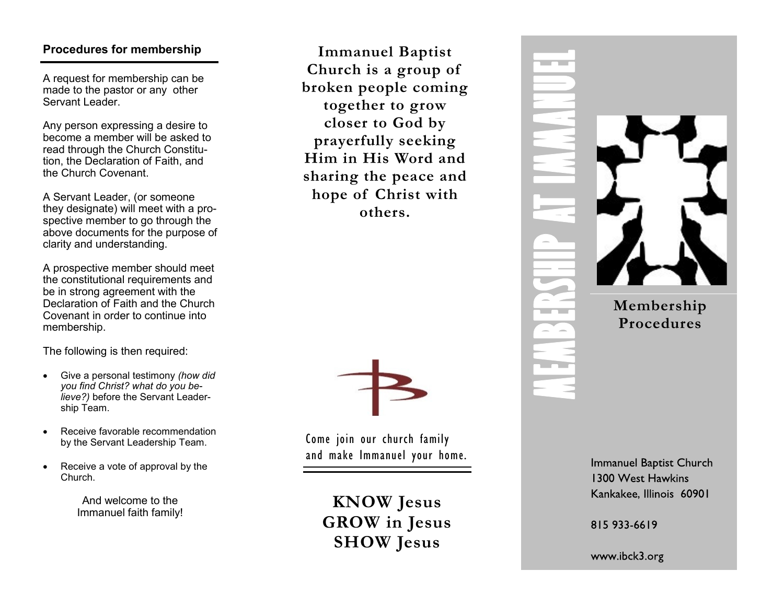# **Procedures for membership**

A request for membership can be made to the pastor or any other Servant Leader.

Any person expressing a desire to become a member will be asked to read through the Church Constitution, the Declaration of Faith, and the Church Covenant.

A Servant Leader, (or someone they designate) will meet with a prospective member to go through the above documents for the purpose of clarity and understanding.

A prospective member should meet the constitutional requirements and be in strong agreement with the Declaration of Faith and the Church Covenant in order to continue into membership.

The following is then required:

- Give a personal testimony *(how did you find Christ? what do you believe?)* before the Servant Leadership Team.
- Receive favorable recommendation by the Servant Leadership Team.
- Receive a vote of approval by the Church.

And welcome to the Immanuel faith family!





Come join our church family and make Immanuel your home.

**KNOW Jesus GROW in Jesus SHOW Jesus**



**Immanuel Baptist Church** 1300 West Hawkins Kankakee, Illinois 60901

815 933 6619

www.ibck3.org